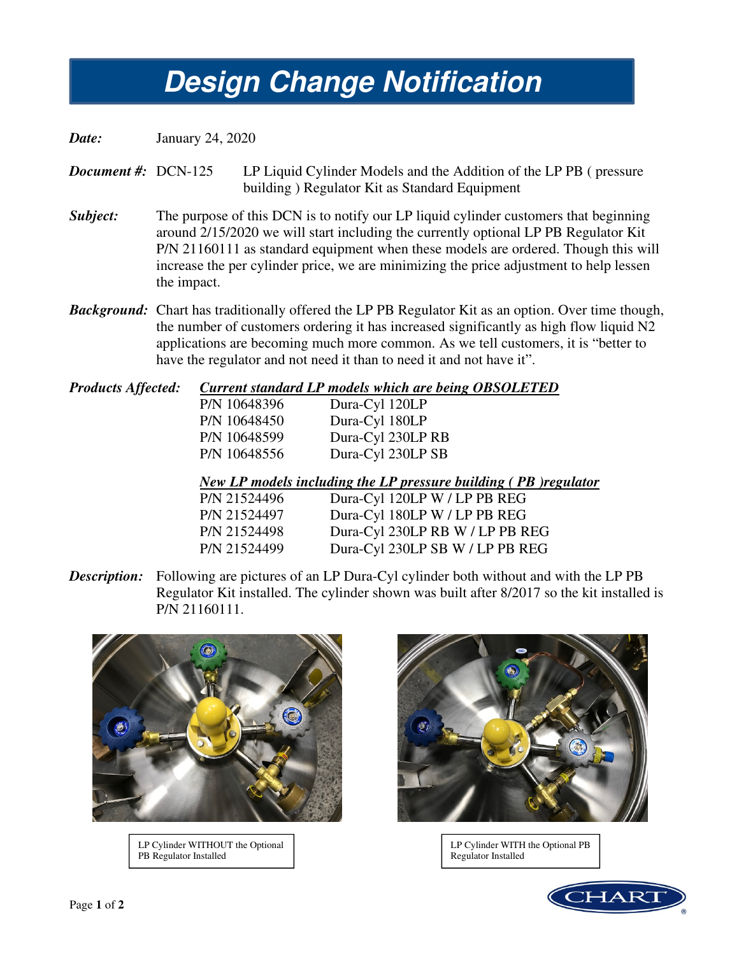## *Design Change Notification*  **Design Change Notification**

*Date:* January 24, 2020

*Document #:* DCN-125 LP Liquid Cylinder Models and the Addition of the LP PB (pressure building ) Regulator Kit as Standard Equipment

- *Subject:* The purpose of this DCN is to notify our LP liquid cylinder customers that beginning around 2/15/2020 we will start including the currently optional LP PB Regulator Kit P/N 21160111 as standard equipment when these models are ordered. Though this will increase the per cylinder price, we are minimizing the price adjustment to help lessen the impact.
- *Background:* Chart has traditionally offered the LP PB Regulator Kit as an option. Over time though, the number of customers ordering it has increased significantly as high flow liquid N2 applications are becoming much more common. As we tell customers, it is "better to have the regulator and not need it than to need it and not have it".

| <b>Products Affected:</b> | Current standard LP models which are being OBSOLETED |                                                                 |
|---------------------------|------------------------------------------------------|-----------------------------------------------------------------|
|                           | P/N 10648396                                         | Dura-Cyl 120LP                                                  |
|                           | P/N 10648450                                         | Dura-Cyl 180LP                                                  |
|                           | P/N 10648599                                         | Dura-Cyl 230LP RB                                               |
|                           | P/N 10648556                                         | Dura-Cyl 230LP SB                                               |
|                           |                                                      | New LP models including the LP pressure building (PB) regulator |

| P/N 21524496 | Dura-Cyl 120LP W / LP PB REG    |
|--------------|---------------------------------|
| P/N 21524497 | Dura-Cyl 180LP W / LP PB REG    |
| P/N 21524498 | Dura-Cyl 230LP RB W / LP PB REG |
| P/N 21524499 | Dura-Cyl 230LP SB W / LP PB REG |
|              |                                 |

**Description:** Following are pictures of an LP Dura-Cyl cylinder both without and with the LP PB Regulator Kit installed. The cylinder shown was built after 8/2017 so the kit installed is P/N 21160111.



LP Cylinder WITHOUT the Optional PB Regulator Installed



LP Cylinder WITH the Optional PB Regulator Installed